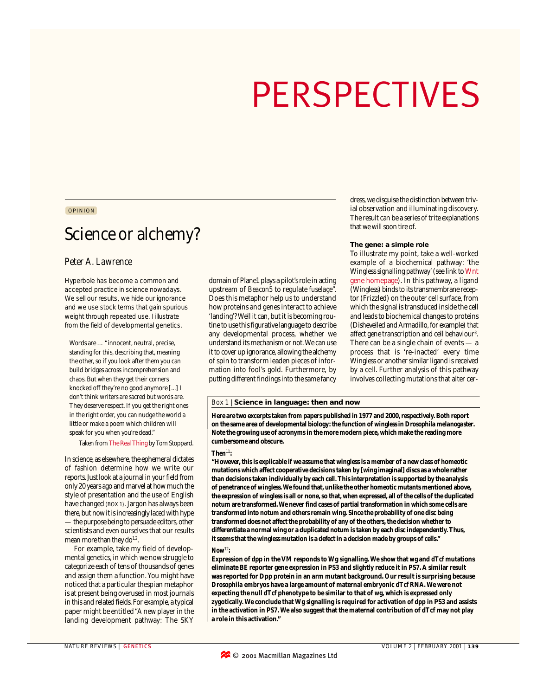# PERSPECTIVES

# OPINION

# Science or alchemy?

# *Peter A. Lawrence*

Hyperbole has become a common and accepted practice in science nowadays. We sell our results, we hide our ignorance and we use stock terms that gain spurious weight through repeated use. I illustrate from the field of developmental genetics.

Words are … "innocent, neutral, precise, standing for this, describing that, meaning the other, so if you look after them you can build bridges across incomprehension and chaos. But when they get their corners knocked off they're no good anymore [...] I don't think writers are sacred but words are. They deserve respect. If you get the right ones in the right order, you can nudge the world a little or make a poem which children will speak for you when you're dead."

Taken from The Real Thing by Tom Stoppard.

In science, as elsewhere, the ephemeral dictates of fashion determine how we write our reports. Just look at a journal in your field from only 20 years ago and marvel at how much the style of presentation and the use of English have changed (BOX 1). Jargon has always been there, but now it is increasingly laced with hype — the purpose being to persuade editors, other scientists and even ourselves that our results mean more than they  $do<sup>1,2</sup>$ .

For example, take my field of developmental genetics, in which we now struggle to categorize each of tens of thousands of genes and assign them a function. You might have noticed that a particular thespian metaphor is at present being overused in most journals in this and related fields. For example, a typical paper might be entitled "A new player in the landing development pathway: The SKY

domain of Plane1 plays a pilot's role in acting upstream of *Beacon5* to regulate *fuselage*". Does this metaphor help us to understand how proteins and genes interact to achieve 'landing'? Well it can, but it is becoming routine to use this figurative language to describe any developmental process, whether we understand its mechanism or not.We can use it to cover up ignorance, allowing the alchemy of spin to transform leaden pieces of information into fool's gold. Furthermore, by putting different findings into the same fancy

## dress, we disguise the distinction between trivial observation and illuminating discovery. The result can be a series of trite explanations that we will soon tire of.

#### **The gene: a simple role**

To illustrate my point, take a well-worked example of a biochemical pathway: 'the Wingless signalling pathway' (see link to Wnt gene homepage). In this pathway, a ligand (Wingless) binds to its transmembrane receptor (Frizzled) on the outer cell surface, from which the signal is transduced inside the cell and leads to biochemical changes to proteins (Dishevelled and Armadillo, for example) that affect gene transcription and cell behaviour<sup>3</sup>. There can be a single chain of events — a process that is 're-inacted' every time Wingless or another similar ligand is received by a cell. Further analysis of this pathway involves collecting mutations that alter cer-

# Box 1 | **Science in language: then and now**

**Here are two excerpts taken from papers published in 1977 and 2000, respectively. Both report on the same area of developmental biology: the function of** *wingless* **in** *Drosophila melanogaster***. Note the growing use of acronyms in the more modern piece, which make the reading more cumbersome and obscure.**

#### $Then<sup>11</sup>:$

**"However, this is explicable if we assume that wingless is a member of a new class of homeotic mutations which affect cooperative decisions taken by [wing imaginal] discs as a whole rather than decisions taken individually by each cell. This interpretation is supported by the analysis of penetrance of** *wingless***. We found that, unlike the other homeotic mutants mentioned above, the expression of** *wingless* **is all or none, so that, when expressed, all of the cells of the duplicated notum are transformed. We never find cases of partial transformation in which some cells are transformed into notum and others remain wing. Since the probability of one disc being transformed does not affect the probability of any of the others, the decision whether to differentiate a normal wing or a duplicated notum is taken by each disc independently. Thus, it seems that the** *wingless* **mutation is a defect in a decision made by groups of cells."**

## *Now*<sup>12</sup>**:**

**Expression of** *dpp* **in the VM responds to Wg signalling. We show that** *wg* **and** *dTcf* **mutations eliminate BE reporter gene expression in PS3 and slightly reduce it in PS7. A similar result was reported for Dpp protein in an** *arm* **mutant background. Our result is surprising because** *Drosophila* **embryos have a large amount of maternal embryonic** *dTcf* **RNA. We were not expecting the null** *dTcf* **phenotype to be similar to that of** *wg***, which is expressed only zygotically. We conclude that Wg signalling is required for activation of** *dpp* **in PS3 and assists in the activation in PS7. We also suggest that the maternal contribution of dTcf may not play a role in this activation."**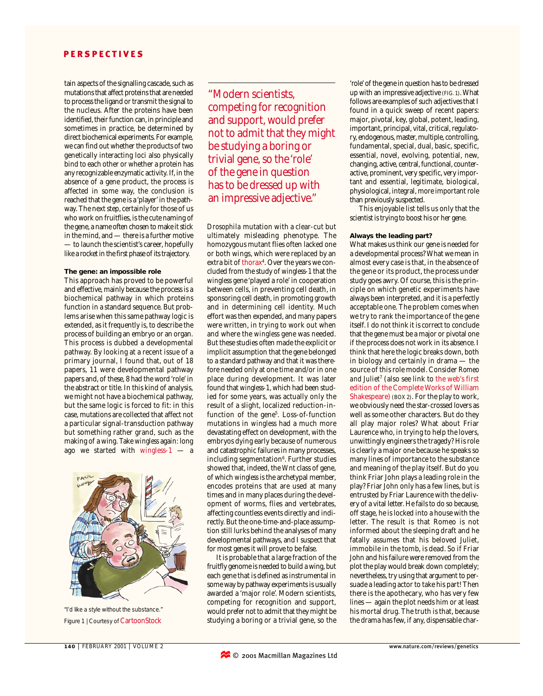# PERSPECTIVES

tain aspects of the signalling cascade, such as mutations that affect proteins that are needed to process the ligand or transmit the signal to the nucleus. After the proteins have been identified, their function can, in principle and sometimes in practice, be determined by direct biochemical experiments. For example, we can find out whether the products of two genetically interacting loci also physically bind to each other or whether a protein has any recognizable enzymatic activity. If, in the absence of a gene product, the process is affected in some way, the conclusion is reached that the gene is a 'player' in the pathway. The next step, certainly for those of us who work on fruitflies, is the cute naming of the gene, a name often chosen to make it stick in the mind, and — there is a further motive — to launch the scientist's career, hopefully like a rocket in the first phase of its trajectory.

#### **The gene: an impossible role**

This approach has proved to be powerful and effective, mainly because the process is a biochemical pathway in which proteins function in a standard sequence. But problems arise when this same pathway logic is extended, as it frequently is, to describe the process of building an embryo or an organ. This process is dubbed a developmental pathway. By looking at a recent issue of a primary journal, I found that, out of 18 papers, 11 were developmental pathway papers and, of these, 8 had the word 'role' in the abstract or title. In this kind of analysis, we might not have a biochemical pathway, but the same logic is forced to fit: in this case, mutations are collected that affect not a particular signal-transduction pathway but something rather grand, such as the making of a wing. Take *wingless* again: long ago we started with *wingless-1* — a



Figure 1 | Courtesy of CartoonStock "I'd like a style without the substance."

"Modern scientists, competing for recognition and support, would prefer not to admit that they might be studying a boring or trivial gene, so the 'role' of the gene in question has to be dressed up with an impressive adjective."

*Drosophila* mutation with a clear-cut but ultimately misleading phenotype. The homozygous mutant flies often lacked one or both wings, which were replaced by an extra bit of thorax<sup>4</sup>. Over the years we concluded from the study of *wingless-1* that the *wingless* gene 'played a role' in cooperation between cells, in preventing cell death, in sponsoring cell death, in promoting growth and in determining cell identity. Much effort was then expended, and many papers were written, in trying to work out when and where the *wingless* gene was needed. But these studies often made the explicit or implicit assumption that the gene belonged to a standard pathway and that it was therefore needed only at one time and/or in one place during development. It was later found that *wingless-1*, which had been studied for some years, was actually only the result of a slight, localized reduction-infunction of the gene<sup>5</sup>. Loss-of-function mutations in *wingless* had a much more devastating effect on development, with the embryos dying early because of numerous and catastrophic failures in many processes, including segmentation<sup>6</sup>. Further studies showed that, indeed, the *Wnt* class of gene, of which *wingless* is the archetypal member, encodes proteins that are used at many times and in many places during the development of worms, flies and vertebrates, affecting countless events directly and indirectly. But the one-time-and-place assumption still lurks behind the analyses of many developmental pathways, and I suspect that for most genes it will prove to be false.

It is probable that a large fraction of the fruitfly genome is needed to build a wing, but each gene that is defined as instrumental in some way by pathway experiments is usually awarded a 'major role'. Modern scientists, competing for recognition and support, would prefer not to admit that they might be studying a boring or a trivial gene, so the

'role' of the gene in question has to be dressed up with an impressive adjective (FIG. 1). What follows are examples of such adjectives that I found in a quick sweep of recent papers: major, pivotal, key, global, potent, leading, important, principal, vital, critical, regulatory, endogenous, master, multiple, controlling, fundamental, special, dual, basic, specific, essential, novel, evolving, potential, new, changing, active, central, functional, counteractive, prominent, very specific, very important and essential, legitimate, biological, physiological, integral, more important role than previously suspected.

This enjoyable list tells us only that the scientist is trying to boost his or her gene.

#### **Always the leading part?**

What makes us think our gene is needed for a developmental process? What we mean in almost every case is that, in the absence of the gene or its product, the process under study goes awry. Of course, this is the principle on which genetic experiments have always been interpreted, and it is a perfectly acceptable one. The problem comes when we try to rank the importance of the gene itself. I do not think it is correct to conclude that the gene must be a major or pivotal one if the process does not work in its absence. I think that here the logic breaks down, both in biology and certainly in drama — the source of this role model. Consider *Romeo* and Juliet<sup>7</sup> (also see link to the web's first edition of the Complete Works of William Shakespeare) (BOX 2). For the play to work, we obviously need the star-crossed lovers as well as some other characters. But do they all play major roles? What about Friar Laurence who, in trying to help the lovers, unwittingly engineers the tragedy? His role is clearly a major one because he speaks so many lines of importance to the substance and meaning of the play itself. But do you think Friar John plays a leading role in the play? Friar John only has a few lines, but is entrusted by Friar Laurence with the delivery of a vital letter. He fails to do so because, off stage, he is locked into a house with the letter. The result is that Romeo is not informed about the sleeping draft and he fatally assumes that his beloved Juliet, immobile in the tomb, is dead. So if Friar John and his failure were removed from the plot the play would break down completely; nevertheless, try using that argument to persuade a leading actor to take his part! Then there is the apothecary, who has very few lines — again the plot needs him or at least his mortal drug. The truth is that, because the drama has few, if any, dispensable char-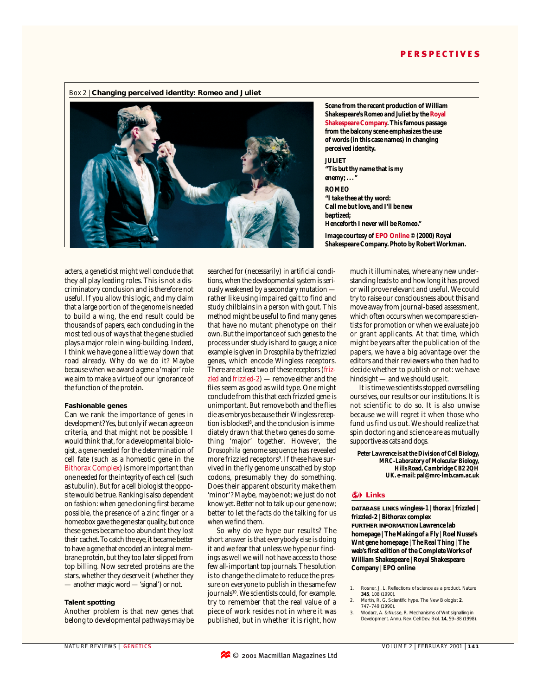

**Scene from the recent production of William Shakespeare's** *Romeo and Juliet* **by the Royal Shakespeare Company. This famous passage from the balcony scene emphasizes the use of words (in this case names) in changing perceived identity. JULIET "Tis but thy name that is my enemy; . . ." ROMEO**

**"I take thee at thy word: Call me but love, and I'll be new baptized; Henceforth I never will be Romeo."**

**Image courtesy of EPO Online © (2000) Royal Shakespeare Company. Photo by Robert Workman.**

acters, a geneticist might well conclude that they all play leading roles. This is not a discriminatory conclusion and is therefore not useful. If you allow this logic, and my claim that a large portion of the genome is needed to build a wing, the end result could be thousands of papers, each concluding in the most tedious of ways that the gene studied plays a major role in wing-building. Indeed, I think we have gone a little way down that road already. Why do we do it? Maybe because when we award a gene a 'major' role we aim to make a virtue of our ignorance of the function of the protein.

#### **Fashionable genes**

Can we rank the importance of genes in development? Yes, but only if we can agree on criteria, and that might not be possible. I would think that, for a developmental biologist, a gene needed for the determination of cell fate (such as a homeotic gene in the Bithorax Complex) is more important than one needed for the integrity of each cell (such as tubulin). But for a cell biologist the opposite would be true. Ranking is also dependent on fashion: when gene cloning first became possible, the presence of a zinc finger or a homeobox gave the gene star quality, but once these genes became too abundant they lost their cachet. To catch the eye, it became better to have a gene that encoded an integral membrane protein, but they too later slipped from top billing. Now secreted proteins are the stars, whether they deserve it (whether they — another magic word — 'signal') or not.

#### **Talent spotting**

Another problem is that new genes that belong to developmental pathways may be searched for (necessarily) in artificial conditions, when the developmental system is seriously weakened by a secondary mutation rather like using impaired gait to find and study chilblains in a person with gout. This method might be useful to find many genes that have no mutant phenotype on their own. But the importance of such genes to the process under study is hard to gauge; a nice example is given in *Drosophila* by the frizzled genes, which encode Wingless receptors. There are at least two of these receptors (*frizzled* and *frizzled-2*) — remove either and the flies seem as good as wild type. One might conclude from this that each frizzled gene is unimportant. But remove both and the flies die as embryos because their Wingless reception is blocked<sup>8</sup>, and the conclusion is immediately drawn that the two genes do something 'major' together. However, the *Drosophila* genome sequence has revealed more frizzled receptors<sup>9</sup>. If these have survived in the fly genome unscathed by stop codons, presumably they do something. Does their apparent obscurity make them 'minor'? Maybe, maybe not; we just do not know yet. Better not to talk up our gene now; better to let the facts do the talking for us when we find them.

So why do we hype our results? The short answer is that everybody else is doing it and we fear that unless we hype our findings as well we will not have access to those few all-important top journals. The solution is to change the climate to reduce the pressure on everyone to publish in the same few journals<sup>10</sup>. We scientists could, for example, try to remember that the real value of a piece of work resides not in where it was published, but in whether it is right, how

much it illuminates, where any new understanding leads to and how long it has proved or will prove relevant and useful. We could try to raise our consciousness about this and move away from journal-based assessment, which often occurs when we compare scientists for promotion or when we evaluate job or grant applicants. At that time, which might be years after the publication of the papers, we have a big advantage over the editors and their reviewers who then had to decide whether to publish or not: we have hindsight — and we should use it.

It is time we scientists stopped overselling ourselves, our results or our institutions. It is not scientific to do so. It is also unwise because we will regret it when those who fund us find us out. We should realize that spin doctoring and science are as mutually supportive as cats and dogs.

*Peter Lawrence is at the Division of Cell Biology, MRC-Laboratory of Molecular Biology, Hills Road, Cambridge CB2 2QH UK. e-mail: pal@mrc-lmb.cam.ac.uk*

### **Links**

**DATABASE LINKS** *wingless-1* **|** *thorax* **|** *frizzled* **|** *frizzled-2* **| Bithorax complex FURTHER INFORMATION Lawrence lab homepage | The** *Making of a Fly* **| Roel Nusse's Wnt gene homepage |** *The Real Thing* **| The web's first edition of the Complete Works of William Shakespeare | Royal Shakespeare Company | EPO online**

- 2. Martin, R. G. Scientific hype. *The New Biologist* **2**, 747–749 (1990).
- Wodarz, A. & Nusse, R. Mechanisms of Wnt signalling in Development. *Annu. Rev. Cell Dev. Biol.* **14**, 59–88 (1998).

<sup>1.</sup> Rosner, J. L. Reflections of science as a product. *Nature* **345**, 108 (1990).